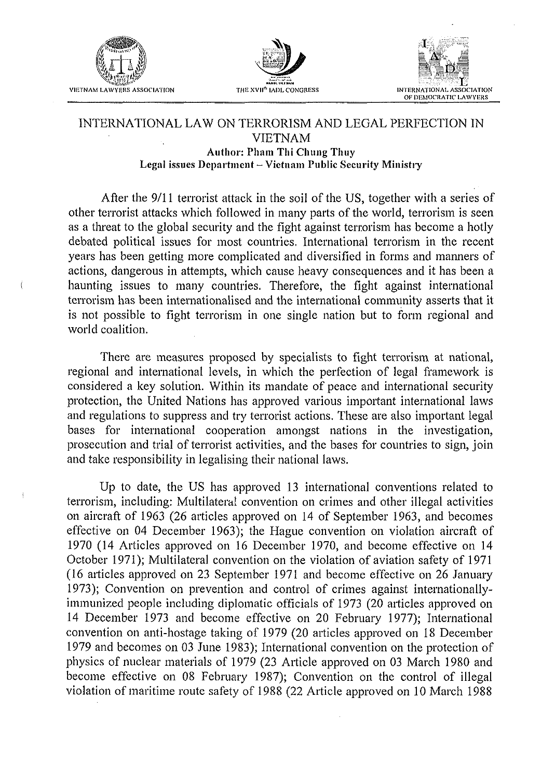

Í





## INTERNATIONAL LAW ON TERRORISM AND LEGAL PERFECTION IN **VIETNAM Author: Pham Thi Chung Thuy** Legal issues Department - Vietnam Public Security Ministry

After the 9/11 terrorist attack in the soil of the US, together with a series of other terrorist attacks which followed in many parts of the world, terrorism is seen as a threat to the global security and the fight against terrorism has become a hotly debated political issues for most countries. International terrorism in the recent years has been getting more complicated and diversified in forms and manners of actions, dangerous in attempts, which cause heavy consequences and it has been a haunting issues to many countries. Therefore, the fight against international terrorism has been internationalised and the international community asserts that it is not possible to fight terrorism in one single nation but to form regional and world coalition.

There are measures proposed by specialists to fight terrorism at national, regional and international levels, in which the perfection of legal framework is considered a key solution. Within its mandate of peace and international security protection, the United Nations has approved various important international laws and regulations to suppress and try terrorist actions. These are also important legal bases for international cooperation amongst nations in the investigation, prosecution and trial of terrorist activities, and the bases for countries to sign, join and take responsibility in legalising their national laws.

Up to date, the US has approved 13 international conventions related to terrorism, including: Multilateral convention on crimes and other illegal activities on aircraft of 1963 (26 articles approved on 14 of September 1963, and becomes effective on 04 December 1963); the Hague convention on violation aircraft of 1970 (14 Articles approved on 16 December 1970, and become effective on 14 October 1971); Multilateral convention on the violation of aviation safety of 1971 (16 articles approved on 23 September 1971 and become effective on 26 January 1973); Convention on prevention and control of crimes against internationallyimmunized people including diplomatic officials of 1973 (20 articles approved on 14 December 1973 and become effective on 20 February 1977); International convention on anti-hostage taking of 1979 (20 articles approved on 18 December 1979 and becomes on 03 June 1983); International convention on the protection of physics of nuclear materials of 1979 (23 Article approved on 03 March 1980 and become effective on 08 February 1987); Convention on the control of illegal violation of maritime route safety of 1988 (22 Article approved on 10 March 1988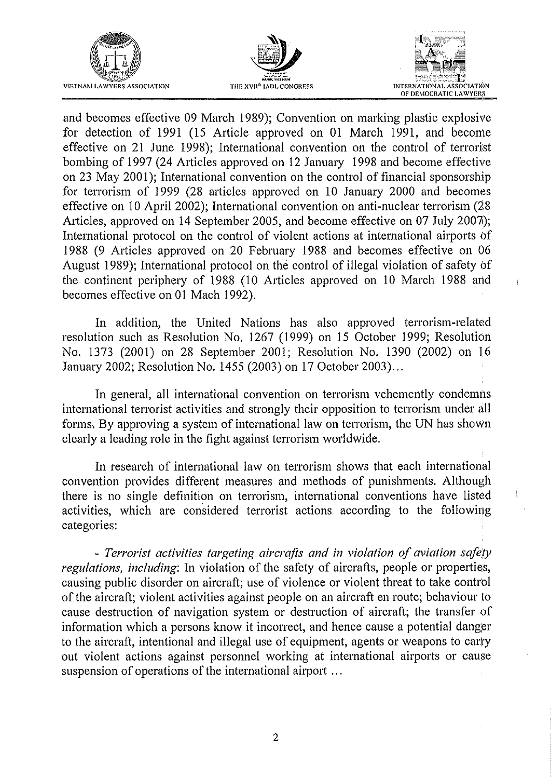





 $\overline{1}$ 

and becomes effective 09 March 1989); Convention on marking plastic explosive for detection of 1991 (15 Article approved on 01 March 1991, and become effective on 21 June 1998); International convention on the control of terrorist bombing of 1997 (24 Articles approved on 12 January 1998 and become effective on 23 May 2001); International convention on the control of financial sponsorship for terrorism of 1999 (28 articles approved on 10 January 2000 and becomes effective on 10 April 2002); International convention on anti-nuclear terrorism (28 Articles, approved on 14 September 2005, and become effective on 07 July 2007); International protocol on the control of violent actions at international airports of 1988 (9 Articles approved on 20 February 1988 and becomes effective on 06 August 1989); International protocol on the control of illegal violation of safety of the continent periphery of 1988 (10 Articles approved on 10 March 1988 and becomes effective on 01 Mach 1992).

In addition, the United Nations has also approved terrorism-related resolution such as Resolution No. 1267 (1999) on 15 October 1999; Resolution No. 1373 (2001) on 28 September 2001; Resolution No. 1390 (2002) on 16 January 2002; Resolution No. 1455 (2003) on 17 October 2003). ..

In general, all international convention on terrorism vehemently condemns international terrorist activities and strongly their opposition to terrorism under all forms., By approving a system of international law on terrorism, the UN has shown clearly a leading role in the fight against terrorism worldwide.

In research of international law on terrorism shows that each international convention provides different measures and methods of punishments. Although there is no single definition on terrorism, international conventions have listed activities, which are considered terrorist actions according to the following categories:

- Terrorist activities targeting aircrafts and in violation of aviation safety *regulations, including:* In violation of the safety of aircrafts, people or properties, causing public disorder on aircraft; use of violence or violent threat to take control of the aircraft; violent activities against people on an aircraft en route; behaviour to cause destruction of navigation system or destruction of aircraft; the transfer of information which a persons know it incorrect, and hence cause a potential danger to the aircraft, intentional and illegal use of equipment, agents or weapons to carty out violent actions against personnel working at international airports or cause suspension of operations of the international airport ...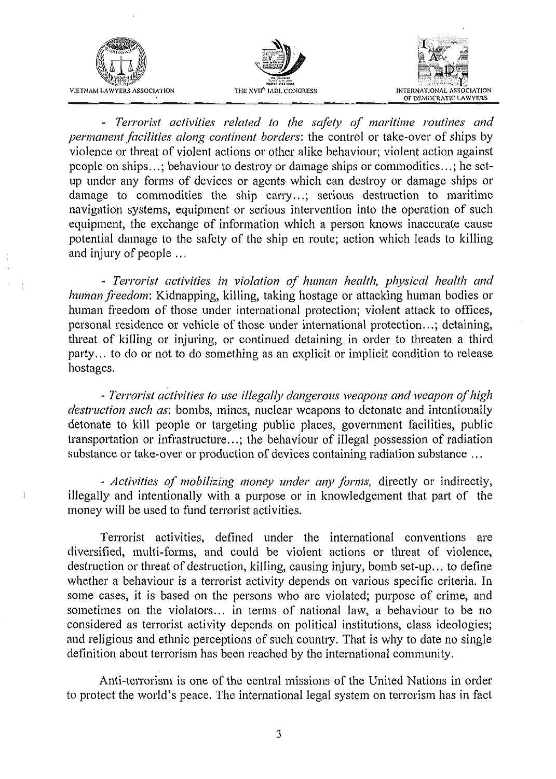

- Terrorist activities related to the safety of maritime routines and *permanent facilities along continent borders:* the control or take-over of ships by violence or threat of violent actions or other alike behaviour; violent action against people on ships...; behaviour to destroy or damage ships or commodities...; he setup under any forms of devices or agents which can destroy or damage ships or damage to commodities the ship carry...; serious destruction to maritime navigation systems, equipment or serious intervention into the operation of such equipment, the exchange of information which a person knows inaccurate cause potential damage to the safety of the ship en route; action which leads to killing and injury of people ...

- Terrorist activities in violation of human health, physical health and *human freedom*: Kidnapping, killing, taking hostage or attacking human bodies or human freedom of those under international protection; violent attack to offices, personal residence or vehicle of those under international protection...; detaining, threat of killing or injuring, or continued detaining in order to threaten a third party... to do or not to do something as an explicit or implicit condition to release hostages.

- Terrorist activities to use illegally dangerous weapons and weapon of high *destruction such as:* bombs, mines, nuclear weapons to detonate and intentionally detonate to kill people or targeting public places, government facilities, public transportation or infrastructure...; the behaviour of illegal possession of radiation substance or take-over or production of devices containing radiation substance ...

- Activities of mobilizing money under any forms, directly or indirectly, illegally and intentionally with a purpose or in knowledgement that part of the money will be used to fund terrorist activities.

Terrorist activities, defined under the international conventions are diversified, multi-forms, and could be violent actions or threat of violence, destruction or threat of destruction, killing, causing injury, bomb set-up... to define whether a behaviour is a terrorist activity depends on various specific criteria. In some cases, it is based on the persons who are violated; purpose of crime, and sometimes on the violators... in terms of national law, a behaviour to be no considered as terrorist activity depends on political institutions, class ideologies; and religious and ethnic perceptions of such country. That is why to date no single definition about terrorism has been reached by the international community.

Anti-terrorism is one of the central missions of the United Nations in order to protect the world's peace. The international legal system on terrorism has in fact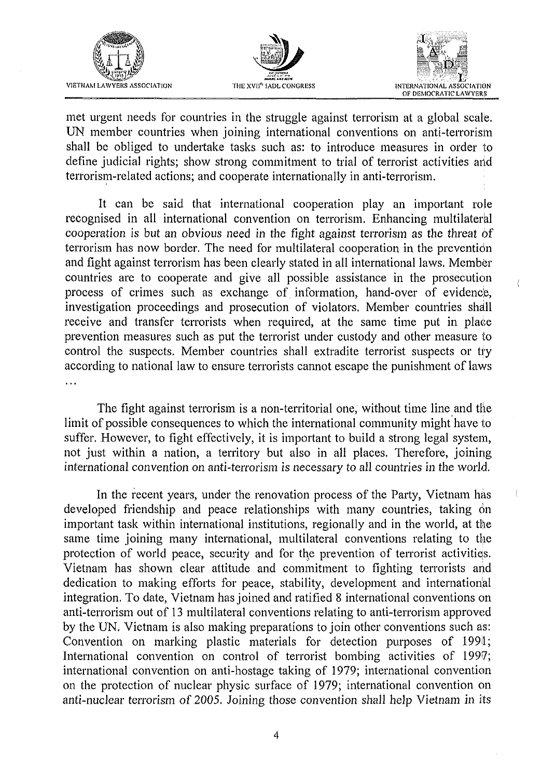





 $\overline{\phantom{a}}$ 

met urgent needs for countries in the struggle against terrorism at a global scale. UN member countries when joining international conventions on anti-terrorism shall be obliged to undertake tasks such as: to introduce measures in order to define judicial rights; show strong commitment to trial of terrorist activities and terrorism-related actions; and cooperate internationally in anti-terrorism.

It can be said that international cooperation play an important role recognised in all international convention on terrorism. Enhancing multilateral cooperation is but an obvious need in the fight against terrorism as the threat of terrorism has now border. The need for tnultilateral cooperation in the prevention and fight against terrorism has been clearly stated in all international laws. Member countries are to cooperate and give all possible assistance in the prosecution process of crimes such as exchange of information, hand-over of evidence, investigation proceedings and prosecution of violators. Member countries shall receive and transfer terrorists when required, at the same time put in place prevention measures such as put the terrorist under custody and other measure to control the suspects. Member countries shall extradite terrorist suspects or try according to national law to ensure terrorists cannot escape the punishment of laws . . .

The fight against terrorism is a non-territorial one, without time line and the limit of possible consequences to which the international community might have to suffer. However, to fight effectively, it is important to build a strong legal system, not just within a nation, a territory but also in all places. Therefore, joining international convention on anti-terrorism is necessary to all countries in the world.

In the recent years, under the renovation process of the Party, Vietnam has developed friendship and peace relationships with many countries, taking  $\dot{\phi}$ n important task within international institutions, regionally and in the world, at the same time joining many international, multilateral conventions relating to the protection of world peace, security and for the prevention of terrorist activities. Vietnam has shown clear attitude and commitment to fighting terrorists and dedication to making efforts for peace, stability, development and international integration. To date, Vietnam has joined and ratified 8 international conventions on anti-terrorism out of 13 multilateral conventions relating to anti-terrorism approved by the UN. Vietnam is also making preparations to join other conventions such as: Convention on marking plastic materials for detection purposes of 1991; International convention on control of terrorist bombing activities of 1997; international convention on anti-hostage taking of 1979; international convention on the protection of nuclear physic surface of 1979; international convention on anti-nuclear terrorism of 2005. Joining those convention shall help Vietnam in its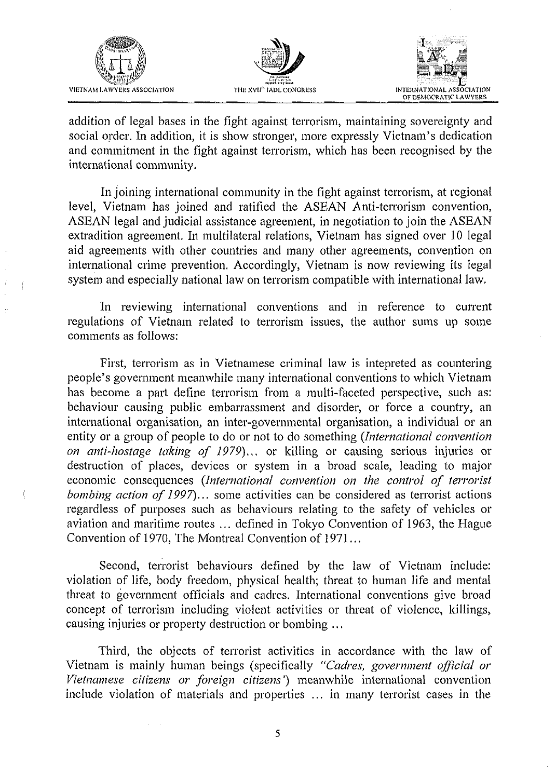





addition of legal bases in the fight against terrorism, maintaining sovereignty and social order. In addition, it is show stronger, more expressly Vietnam's dedication and commitment in the fight against terrorism, which has been recognised by the international community.

In joining international community in the fight against terrorism, at regional level, Vietnam has joined and ratified the **ASEAN** Anti-terrorism convention, **ASEAN** legal and judicial assistance agreement, in negotiation to join the **ASEAN**  extradition agreement. In multilateral relations, Vietnam has signed over 10 legal aid agreements with other countries and many other agreements, convention on international crime prevention. Accordingly, Vietnam is now reviewing its legal system and especially national law on terrorism compatible with international law.

In reviewing international conventions and in reference to current regulations of Vietnam related to terrorism issues, the author sums up some comments as follows:

First, terrorism as in Vietnamese criminal law is intepreted as countering people's government meanwhile many international conventions to which Vietnam has become a part define terrorism from a multi-faceted perspective, such as: behaviour causing public embarrassment and disorder, or force a country, an international organisation, an inter-governmental organisation, a individual or an entity or a group of people to do or not to do something *(International convention on anti-hostage taking of 1979*)... or killing or causing serious injuries or destruction of places, devices or system in a broad scale, leading to major economic consequences *(International convention on the control of terrorist bombing action of 1997*)... some activities can be considered as terrorist actions regardless of purposes such as behaviours relating to the safety of vehicles or aviation and maritime routes .. . defined in Tokyo Convention of 1963, the Hague Convention of 1970, The Montreal Convention of 1971.. .

Second, terrorist behaviours defined by the law of Vietnam include: violation of life, body freedom, physical health; threat to human life and mental threat to government officials and cadres. International conventions give broad concept of terrorism including violent activities or threat of violence, killings, causing injuries or property destruction or bombing ...

Third, the objects of terrorist activities in accordance with the law of Vietnam is mainly human beings (specifically "Cadres, government official or Vietnamese citizens or foreign citizens') meanwhile international convention include violation of materials and properties ... in many terrorist cases in the